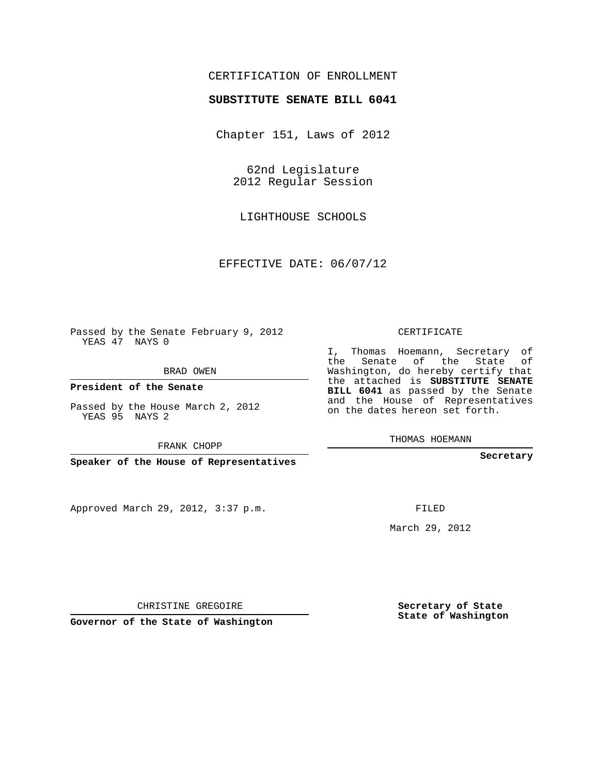## CERTIFICATION OF ENROLLMENT

## **SUBSTITUTE SENATE BILL 6041**

Chapter 151, Laws of 2012

62nd Legislature 2012 Regular Session

LIGHTHOUSE SCHOOLS

EFFECTIVE DATE: 06/07/12

Passed by the Senate February 9, 2012 YEAS 47 NAYS 0

BRAD OWEN

**President of the Senate**

Passed by the House March 2, 2012 YEAS 95 NAYS 2

FRANK CHOPP

**Speaker of the House of Representatives**

Approved March 29, 2012, 3:37 p.m.

CERTIFICATE

I, Thomas Hoemann, Secretary of the Senate of the State of Washington, do hereby certify that the attached is **SUBSTITUTE SENATE BILL 6041** as passed by the Senate and the House of Representatives on the dates hereon set forth.

THOMAS HOEMANN

**Secretary**

FILED

March 29, 2012

**Secretary of State State of Washington**

CHRISTINE GREGOIRE

**Governor of the State of Washington**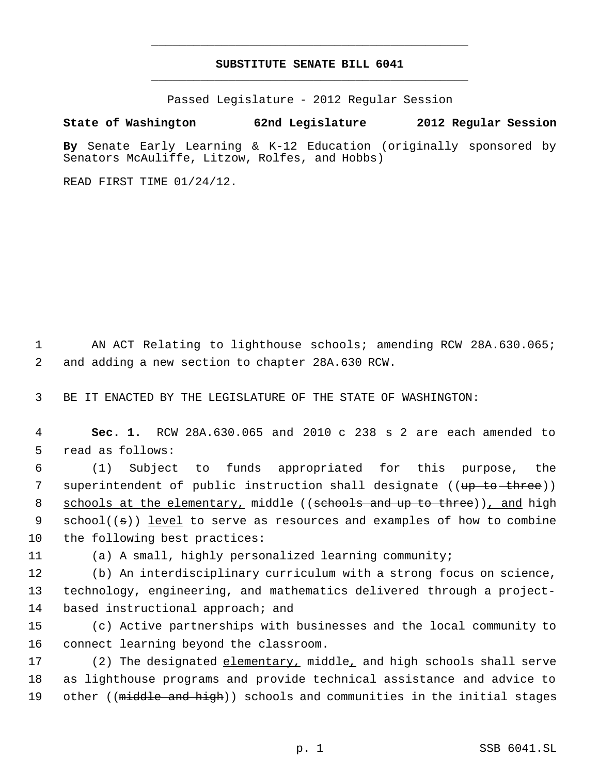## **SUBSTITUTE SENATE BILL 6041** \_\_\_\_\_\_\_\_\_\_\_\_\_\_\_\_\_\_\_\_\_\_\_\_\_\_\_\_\_\_\_\_\_\_\_\_\_\_\_\_\_\_\_\_\_

\_\_\_\_\_\_\_\_\_\_\_\_\_\_\_\_\_\_\_\_\_\_\_\_\_\_\_\_\_\_\_\_\_\_\_\_\_\_\_\_\_\_\_\_\_

Passed Legislature - 2012 Regular Session

**State of Washington 62nd Legislature 2012 Regular Session**

**By** Senate Early Learning & K-12 Education (originally sponsored by Senators McAuliffe, Litzow, Rolfes, and Hobbs)

READ FIRST TIME 01/24/12.

 1 AN ACT Relating to lighthouse schools; amending RCW 28A.630.065; 2 and adding a new section to chapter 28A.630 RCW.

3 BE IT ENACTED BY THE LEGISLATURE OF THE STATE OF WASHINGTON:

 4 **Sec. 1.** RCW 28A.630.065 and 2010 c 238 s 2 are each amended to 5 read as follows:

 6 (1) Subject to funds appropriated for this purpose, the 7 superintendent of public instruction shall designate ((<del>up to three</del>)) 8 schools at the elementary, middle ((schools and up to three)), and high 9 school((s)) <u>level</u> to serve as resources and examples of how to combine 10 the following best practices:

11 (a) A small, highly personalized learning community;

12 (b) An interdisciplinary curriculum with a strong focus on science, 13 technology, engineering, and mathematics delivered through a project-14 based instructional approach; and

15 (c) Active partnerships with businesses and the local community to 16 connect learning beyond the classroom.

17 (2) The designated elementary, middle, and high schools shall serve 18 as lighthouse programs and provide technical assistance and advice to 19 other ((<del>middle and high</del>)) schools and communities in the initial stages